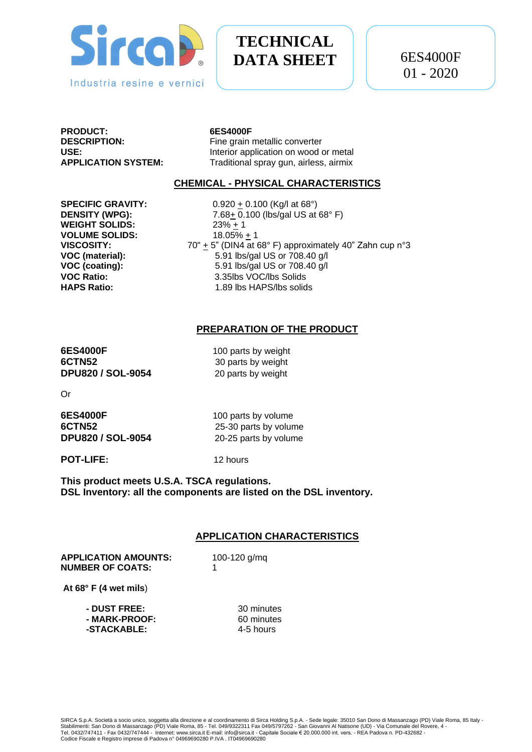

# **TECHNICAL DATA SHEET**

**PRODUCT: 6ES4000F**

Fine grain metallic converter **USE:** Interior application on wood or metal **APPLICATION SYSTEM:** Traditional spray gun, airless, airmix

#### **CHEMICAL - PHYSICAL CHARACTERISTICS**

**WEIGHT SOLIDS:**  $23\% + 1$ **VOLUME SOLIDS:** 18.05% + 1

**SPECIFIC GRAVITY:** 0.920  $\pm$  0.100 (Kg/l at 68°) **DENSITY (WPG):** 7.68+ 0.100 (lbs/gal US at 68° F) **VISCOSITY:**  $70'' + 5''$  (DIN4 at 68° F) approximately 40" Zahn cup n°3<br>**VOC (material):**  $5.91$  lbs/gal US or 708.40 g/l **VOC (material):** 5.91 lbs/gal US or 708.40 g/l **VOC (coating):** 5.91 lbs/gal US or 708.40 g/l **VOC Ratio:** 3.35lbs VOC/lbs Solids **HAPS Ratio:** 1.89 lbs HAPS/lbs solids

## **PREPARATION OF THE PRODUCT**

**6ES4000F** 100 parts by weight **6CTN52** 30 parts by weight **DPU820 / SOL-9054** 20 parts by weight

Or

| <b>6ES4000F</b>          | 100 parts by volume   |
|--------------------------|-----------------------|
| 6CTN52                   | 25-30 parts by volume |
| <b>DPU820 / SOL-9054</b> | 20-25 parts by volume |

**POT-LIFE:** 12 hours

**This product meets U.S.A. TSCA regulations. DSL Inventory: all the components are listed on the DSL inventory.**

### **APPLICATION CHARACTERISTICS**

**APPLICATION AMOUNTS:** 100-120 g/mq **NUMBER OF COATS:** 1

**At 68° F (4 wet mils**)

| 30 minutes |
|------------|
| 60 minutes |
| 4-5 hours  |
|            |